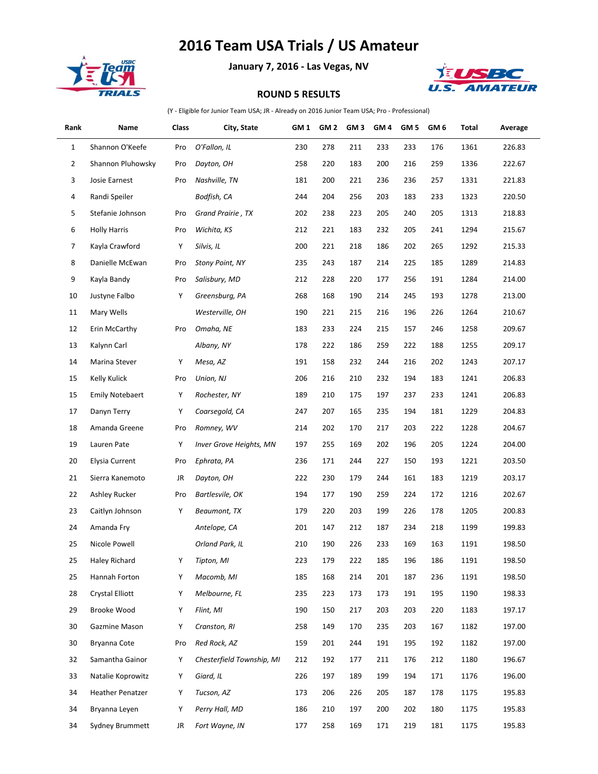## **2016 Team USA Trials / US Amateur**



à.

**January 7, 2016 - Las Vegas, NV**



## **ROUND 5 RESULTS**

(Y - Eligible for Junior Team USA; JR - Already on 2016 Junior Team USA; Pro - Professional)

| Rank           | Name                    | Class | City, State               | GM 1 | GM <sub>2</sub> | GM <sub>3</sub> | GM <sub>4</sub> | GM <sub>5</sub> | GM <sub>6</sub> | Total | Average |
|----------------|-------------------------|-------|---------------------------|------|-----------------|-----------------|-----------------|-----------------|-----------------|-------|---------|
| $\mathbf{1}$   | Shannon O'Keefe         | Pro   | O'Fallon, IL              | 230  | 278             | 211             | 233             | 233             | 176             | 1361  | 226.83  |
| $\overline{2}$ | Shannon Pluhowsky       | Pro   | Dayton, OH                | 258  | 220             | 183             | 200             | 216             | 259             | 1336  | 222.67  |
| 3              | Josie Earnest           | Pro   | Nashville, TN             | 181  | 200             | 221             | 236             | 236             | 257             | 1331  | 221.83  |
| 4              | Randi Speiler           |       | Bodfish, CA               | 244  | 204             | 256             | 203             | 183             | 233             | 1323  | 220.50  |
| 5              | Stefanie Johnson        | Pro   | Grand Prairie, TX         | 202  | 238             | 223             | 205             | 240             | 205             | 1313  | 218.83  |
| 6              | <b>Holly Harris</b>     | Pro   | Wichita, KS               | 212  | 221             | 183             | 232             | 205             | 241             | 1294  | 215.67  |
| 7              | Kayla Crawford          | Υ     | Silvis, IL                | 200  | 221             | 218             | 186             | 202             | 265             | 1292  | 215.33  |
| 8              | Danielle McEwan         | Pro   | <b>Stony Point, NY</b>    | 235  | 243             | 187             | 214             | 225             | 185             | 1289  | 214.83  |
| 9              | Kayla Bandy             | Pro   | Salisbury, MD             | 212  | 228             | 220             | 177             | 256             | 191             | 1284  | 214.00  |
| 10             | Justyne Falbo           | Υ     | Greensburg, PA            | 268  | 168             | 190             | 214             | 245             | 193             | 1278  | 213.00  |
| 11             | Mary Wells              |       | Westerville, OH           | 190  | 221             | 215             | 216             | 196             | 226             | 1264  | 210.67  |
| 12             | Erin McCarthy           | Pro   | Omaha, NE                 | 183  | 233             | 224             | 215             | 157             | 246             | 1258  | 209.67  |
| 13             | Kalynn Carl             |       | Albany, NY                | 178  | 222             | 186             | 259             | 222             | 188             | 1255  | 209.17  |
| 14             | Marina Stever           | Υ     | Mesa, AZ                  | 191  | 158             | 232             | 244             | 216             | 202             | 1243  | 207.17  |
| 15             | Kelly Kulick            | Pro   | Union, NJ                 | 206  | 216             | 210             | 232             | 194             | 183             | 1241  | 206.83  |
| 15             | <b>Emily Notebaert</b>  | Υ     | Rochester, NY             | 189  | 210             | 175             | 197             | 237             | 233             | 1241  | 206.83  |
| 17             | Danyn Terry             | Υ     | Coarsegold, CA            | 247  | 207             | 165             | 235             | 194             | 181             | 1229  | 204.83  |
| 18             | Amanda Greene           | Pro   | Romney, WV                | 214  | 202             | 170             | 217             | 203             | 222             | 1228  | 204.67  |
| 19             | Lauren Pate             | Υ     | Inver Grove Heights, MN   | 197  | 255             | 169             | 202             | 196             | 205             | 1224  | 204.00  |
| 20             | Elysia Current          | Pro   | Ephrata, PA               | 236  | 171             | 244             | 227             | 150             | 193             | 1221  | 203.50  |
| 21             | Sierra Kanemoto         | JR    | Dayton, OH                | 222  | 230             | 179             | 244             | 161             | 183             | 1219  | 203.17  |
| 22             | Ashley Rucker           | Pro   | Bartlesvile, OK           | 194  | 177             | 190             | 259             | 224             | 172             | 1216  | 202.67  |
| 23             | Caitlyn Johnson         | Υ     | Beaumont, TX              | 179  | 220             | 203             | 199             | 226             | 178             | 1205  | 200.83  |
| 24             | Amanda Fry              |       | Antelope, CA              | 201  | 147             | 212             | 187             | 234             | 218             | 1199  | 199.83  |
| 25             | Nicole Powell           |       | Orland Park, IL           | 210  | 190             | 226             | 233             | 169             | 163             | 1191  | 198.50  |
| 25             | Haley Richard           | Υ     | Tipton, MI                | 223  | 179             | 222             | 185             | 196             | 186             | 1191  | 198.50  |
| 25             | Hannah Forton           | Υ     | Macomb, MI                | 185  | 168             | 214             | 201             | 187             | 236             | 1191  | 198.50  |
| 28             | <b>Crystal Elliott</b>  | Υ     | Melbourne, FL             | 235  | 223             | 173             | 173             | 191             | 195             | 1190  | 198.33  |
| 29             | Brooke Wood             | Υ     | Flint, MI                 | 190  | 150             | 217             | 203             | 203             | 220             | 1183  | 197.17  |
| 30             | Gazmine Mason           | Υ     | Cranston, RI              | 258  | 149             | 170             | 235             | 203             | 167             | 1182  | 197.00  |
| 30             | Bryanna Cote            | Pro   | Red Rock, AZ              | 159  | 201             | 244             | 191             | 195             | 192             | 1182  | 197.00  |
| 32             | Samantha Gainor         | Υ     | Chesterfield Township, MI | 212  | 192             | 177             | 211             | 176             | 212             | 1180  | 196.67  |
| 33             | Natalie Koprowitz       | Υ     | Giard, IL                 | 226  | 197             | 189             | 199             | 194             | 171             | 1176  | 196.00  |
| 34             | <b>Heather Penatzer</b> | Υ     | Tucson, AZ                | 173  | 206             | 226             | 205             | 187             | 178             | 1175  | 195.83  |
| 34             | Bryanna Leyen           | Υ     | Perry Hall, MD            | 186  | 210             | 197             | 200             | 202             | 180             | 1175  | 195.83  |
| 34             | Sydney Brummett         | JR    | Fort Wayne, IN            | 177  | 258             | 169             | 171             | 219             | 181             | 1175  | 195.83  |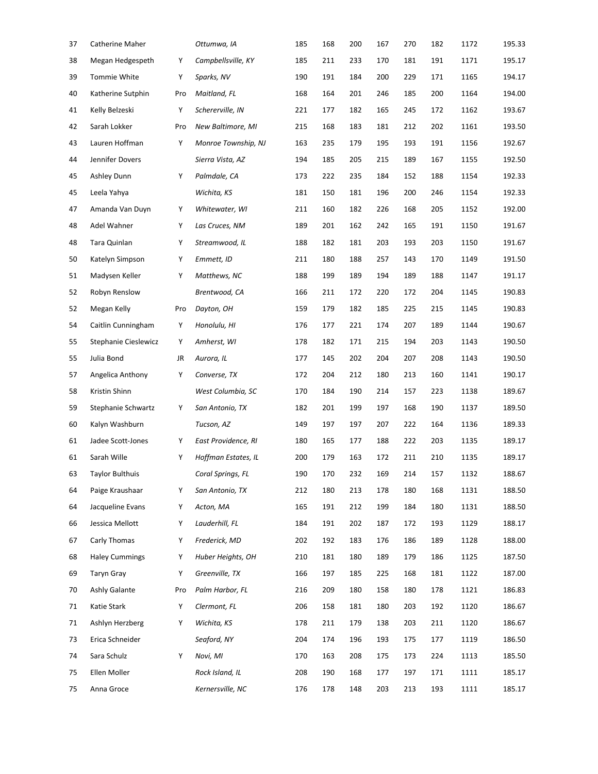| 37 | Catherine Maher        |     | Ottumwa, IA         | 185 | 168 | 200 | 167 | 270 | 182 | 1172 | 195.33 |
|----|------------------------|-----|---------------------|-----|-----|-----|-----|-----|-----|------|--------|
| 38 | Megan Hedgespeth       | Υ   | Campbellsville, KY  | 185 | 211 | 233 | 170 | 181 | 191 | 1171 | 195.17 |
| 39 | Tommie White           | Υ   | Sparks, NV          | 190 | 191 | 184 | 200 | 229 | 171 | 1165 | 194.17 |
| 40 | Katherine Sutphin      | Pro | Maitland, FL        | 168 | 164 | 201 | 246 | 185 | 200 | 1164 | 194.00 |
| 41 | Kelly Belzeski         | Υ   | Schererville, IN    | 221 | 177 | 182 | 165 | 245 | 172 | 1162 | 193.67 |
| 42 | Sarah Lokker           | Pro | New Baltimore, MI   | 215 | 168 | 183 | 181 | 212 | 202 | 1161 | 193.50 |
| 43 | Lauren Hoffman         | Υ   | Monroe Township, NJ | 163 | 235 | 179 | 195 | 193 | 191 | 1156 | 192.67 |
| 44 | Jennifer Dovers        |     | Sierra Vista, AZ    | 194 | 185 | 205 | 215 | 189 | 167 | 1155 | 192.50 |
| 45 | <b>Ashley Dunn</b>     | Υ   | Palmdale, CA        | 173 | 222 | 235 | 184 | 152 | 188 | 1154 | 192.33 |
| 45 | Leela Yahya            |     | Wichita, KS         | 181 | 150 | 181 | 196 | 200 | 246 | 1154 | 192.33 |
| 47 | Amanda Van Duyn        | Υ   | Whitewater, WI      | 211 | 160 | 182 | 226 | 168 | 205 | 1152 | 192.00 |
| 48 | Adel Wahner            | Υ   | Las Cruces, NM      | 189 | 201 | 162 | 242 | 165 | 191 | 1150 | 191.67 |
| 48 | Tara Quinlan           | Υ   | Streamwood, IL      | 188 | 182 | 181 | 203 | 193 | 203 | 1150 | 191.67 |
| 50 | Katelyn Simpson        | Υ   | Emmett, ID          | 211 | 180 | 188 | 257 | 143 | 170 | 1149 | 191.50 |
| 51 | Madysen Keller         | Υ   | Matthews, NC        | 188 | 199 | 189 | 194 | 189 | 188 | 1147 | 191.17 |
| 52 | Robyn Renslow          |     | Brentwood, CA       | 166 | 211 | 172 | 220 | 172 | 204 | 1145 | 190.83 |
| 52 | Megan Kelly            | Pro | Dayton, OH          | 159 | 179 | 182 | 185 | 225 | 215 | 1145 | 190.83 |
| 54 | Caitlin Cunningham     | Υ   | Honolulu, HI        | 176 | 177 | 221 | 174 | 207 | 189 | 1144 | 190.67 |
| 55 | Stephanie Cieslewicz   | Υ   | Amherst, WI         | 178 | 182 | 171 | 215 | 194 | 203 | 1143 | 190.50 |
| 55 | Julia Bond             | JR  | Aurora, IL          | 177 | 145 | 202 | 204 | 207 | 208 | 1143 | 190.50 |
| 57 | Angelica Anthony       | Υ   | Converse, TX        | 172 | 204 | 212 | 180 | 213 | 160 | 1141 | 190.17 |
| 58 | Kristin Shinn          |     | West Columbia, SC   | 170 | 184 | 190 | 214 | 157 | 223 | 1138 | 189.67 |
| 59 | Stephanie Schwartz     | Υ   | San Antonio, TX     | 182 | 201 | 199 | 197 | 168 | 190 | 1137 | 189.50 |
| 60 | Kalyn Washburn         |     | Tucson, AZ          | 149 | 197 | 197 | 207 | 222 | 164 | 1136 | 189.33 |
| 61 | Jadee Scott-Jones      | Υ   | East Providence, RI | 180 | 165 | 177 | 188 | 222 | 203 | 1135 | 189.17 |
| 61 | Sarah Wille            | Υ   | Hoffman Estates, IL | 200 | 179 | 163 | 172 | 211 | 210 | 1135 | 189.17 |
| 63 | <b>Taylor Bulthuis</b> |     | Coral Springs, FL   | 190 | 170 | 232 | 169 | 214 | 157 | 1132 | 188.67 |
| 64 | Paige Kraushaar        | Υ   | San Antonio, TX     | 212 | 180 | 213 | 178 | 180 | 168 | 1131 | 188.50 |
| 64 | Jacqueline Evans       | Υ   | Acton, MA           | 165 | 191 | 212 | 199 | 184 | 180 | 1131 | 188.50 |
| 66 | Jessica Mellott        | Υ   | Lauderhill, FL      | 184 | 191 | 202 | 187 | 172 | 193 | 1129 | 188.17 |
| 67 | Carly Thomas           | Υ   | Frederick, MD       | 202 | 192 | 183 | 176 | 186 | 189 | 1128 | 188.00 |
| 68 | <b>Haley Cummings</b>  | Υ   | Huber Heights, OH   | 210 | 181 | 180 | 189 | 179 | 186 | 1125 | 187.50 |
| 69 | <b>Taryn Gray</b>      | Υ   | Greenville, TX      | 166 | 197 | 185 | 225 | 168 | 181 | 1122 | 187.00 |
| 70 | Ashly Galante          | Pro | Palm Harbor, FL     | 216 | 209 | 180 | 158 | 180 | 178 | 1121 | 186.83 |
| 71 | Katie Stark            | Υ   | Clermont, FL        | 206 | 158 | 181 | 180 | 203 | 192 | 1120 | 186.67 |
| 71 | Ashlyn Herzberg        | Υ   | Wichita, KS         | 178 | 211 | 179 | 138 | 203 | 211 | 1120 | 186.67 |
| 73 | Erica Schneider        |     | Seaford, NY         | 204 | 174 | 196 | 193 | 175 | 177 | 1119 | 186.50 |
| 74 | Sara Schulz            | Υ   | Novi, MI            | 170 | 163 | 208 | 175 | 173 | 224 | 1113 | 185.50 |
| 75 | Ellen Moller           |     | Rock Island, IL     | 208 | 190 | 168 | 177 | 197 | 171 | 1111 | 185.17 |
| 75 | Anna Groce             |     | Kernersville, NC    | 176 | 178 | 148 | 203 | 213 | 193 | 1111 | 185.17 |